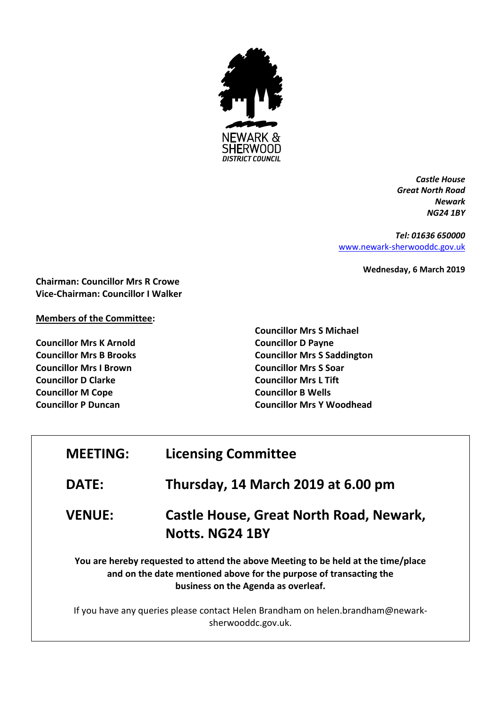

*Castle House Great North Road Newark NG24 1BY*

*Tel: 01636 650000* [www.newark-sherwooddc.gov.uk](http://www.newark-sherwooddc.gov.uk/)

**Wednesday, 6 March 2019**

**Chairman: Councillor Mrs R Crowe Vice-Chairman: Councillor I Walker**

## **Members of the Committee:**

**Councillor Mrs K Arnold Councillor Mrs B Brooks Councillor Mrs I Brown Councillor D Clarke Councillor M Cope Councillor P Duncan**

**Councillor Mrs S Michael Councillor D Payne Councillor Mrs S Saddington Councillor Mrs S Soar Councillor Mrs L Tift Councillor B Wells Councillor Mrs Y Woodhead**

| <b>MEETING:</b> | <b>Licensing Committee</b>                     |
|-----------------|------------------------------------------------|
| <b>DATE:</b>    | Thursday, 14 March 2019 at 6.00 pm             |
| <b>VENUE:</b>   | <b>Castle House, Great North Road, Newark,</b> |

**Notts. NG24 1BY You are hereby requested to attend the above Meeting to be held at the time/place** 

**and on the date mentioned above for the purpose of transacting the business on the Agenda as overleaf.**

If you have any queries please contact Helen Brandham on helen.brandham@newarksherwooddc.gov.uk.